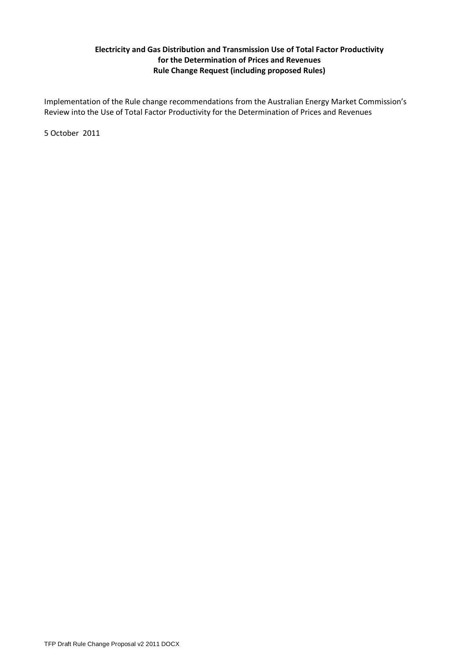# **Electricity and Gas Distribution and Transmission Use of Total Factor Productivity for the Determination of Prices and Revenues Rule Change Request (including proposed Rules)**

Implementation of the Rule change recommendations from the Australian Energy Market Commission's Review into the Use of Total Factor Productivity for the Determination of Prices and Revenues

5 October 2011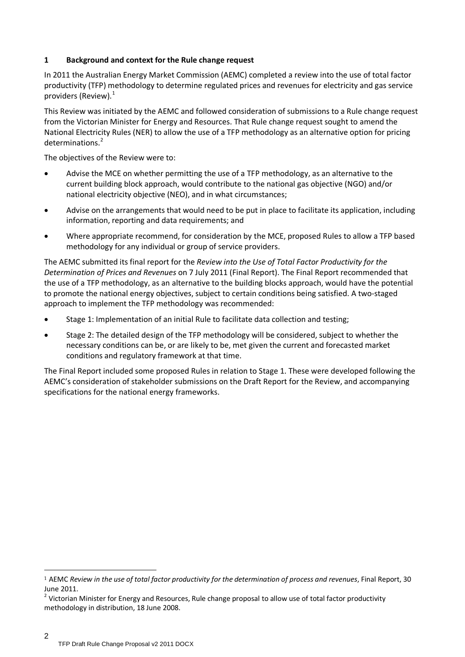# **1 Background and context for the Rule change request**

In 2011 the Australian Energy Market Commission (AEMC) completed a review into the use of total factor productivity (TFP) methodology to determine regulated prices and revenues for electricity and gas service providers (Review). [1](#page-1-0)

This Review was initiated by the AEMC and followed consideration of submissions to a Rule change request from the Victorian Minister for Energy and Resources. That Rule change request sought to amend the National Electricity Rules (NER) to allow the use of a TFP methodology as an alternative option for pricing determinations. [2](#page-1-1)

The objectives of the Review were to:

- Advise the MCE on whether permitting the use of a TFP methodology, as an alternative to the current building block approach, would contribute to the national gas objective (NGO) and/or national electricity objective (NEO), and in what circumstances;
- Advise on the arrangements that would need to be put in place to facilitate its application, including information, reporting and data requirements; and
- Where appropriate recommend, for consideration by the MCE, proposed Rules to allow a TFP based methodology for any individual or group of service providers.

The AEMC submitted its final report for the *Review into the Use of Total Factor Productivity for the Determination of Prices and Revenues* on 7 July 2011 (Final Report). The Final Report recommended that the use of a TFP methodology, as an alternative to the building blocks approach, would have the potential to promote the national energy objectives, subject to certain conditions being satisfied. A two-staged approach to implement the TFP methodology was recommended:

- Stage 1: Implementation of an initial Rule to facilitate data collection and testing;
- Stage 2: The detailed design of the TFP methodology will be considered, subject to whether the necessary conditions can be, or are likely to be, met given the current and forecasted market conditions and regulatory framework at that time.

The Final Report included some proposed Rules in relation to Stage 1. These were developed following the AEMC's consideration of stakeholder submissions on the Draft Report for the Review, and accompanying specifications for the national energy frameworks.

<span id="page-1-0"></span> <sup>1</sup> AEMC *Review in the use of total factor productivity for the determination of process and revenues*, Final Report, 30 June 2011.

<span id="page-1-1"></span> $2$  Victorian Minister for Energy and Resources, Rule change proposal to allow use of total factor productivity methodology in distribution, 18 June 2008.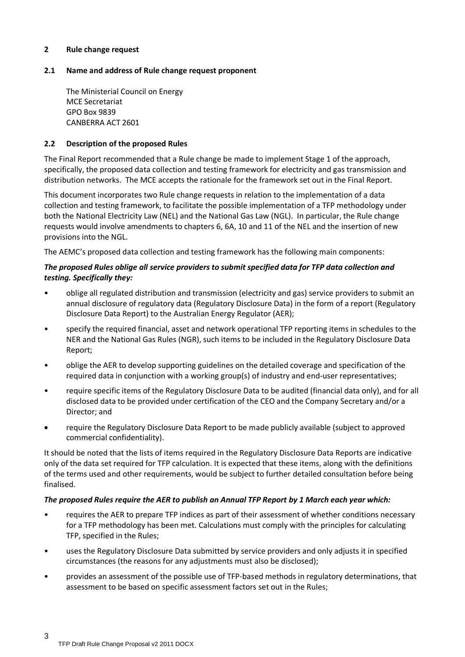#### **2 Rule change request**

## **2.1 Name and address of Rule change request proponent**

The Ministerial Council on Energy MCE Secretariat GPO Box 9839 CANBERRA ACT 2601

## **2.2 Description of the proposed Rules**

The Final Report recommended that a Rule change be made to implement Stage 1 of the approach, specifically, the proposed data collection and testing framework for electricity and gas transmission and distribution networks. The MCE accepts the rationale for the framework set out in the Final Report.

This document incorporates two Rule change requests in relation to the implementation of a data collection and testing framework, to facilitate the possible implementation of a TFP methodology under both the National Electricity Law (NEL) and the National Gas Law (NGL). In particular, the Rule change requests would involve amendments to chapters 6, 6A, 10 and 11 of the NEL and the insertion of new provisions into the NGL.

The AEMC's proposed data collection and testing framework has the following main components:

## *The proposed Rules oblige all service providers to submit specified data for TFP data collection and testing. Specifically they:*

- oblige all regulated distribution and transmission (electricity and gas) service providers to submit an annual disclosure of regulatory data (Regulatory Disclosure Data) in the form of a report (Regulatory Disclosure Data Report) to the Australian Energy Regulator (AER);
- specify the required financial, asset and network operational TFP reporting items in schedules to the NER and the National Gas Rules (NGR), such items to be included in the Regulatory Disclosure Data Report;
- oblige the AER to develop supporting guidelines on the detailed coverage and specification of the required data in conjunction with a working group(s) of industry and end-user representatives;
- require specific items of the Regulatory Disclosure Data to be audited (financial data only), and for all disclosed data to be provided under certification of the CEO and the Company Secretary and/or a Director; and
- require the Regulatory Disclosure Data Report to be made publicly available (subject to approved commercial confidentiality).

It should be noted that the lists of items required in the Regulatory Disclosure Data Reports are indicative only of the data set required for TFP calculation. It is expected that these items, along with the definitions of the terms used and other requirements, would be subject to further detailed consultation before being finalised.

#### *The proposed Rules require the AER to publish an Annual TFP Report by 1 March each year which:*

- requires the AER to prepare TFP indices as part of their assessment of whether conditions necessary for a TFP methodology has been met. Calculations must comply with the principles for calculating TFP, specified in the Rules;
- uses the Regulatory Disclosure Data submitted by service providers and only adjusts it in specified circumstances (the reasons for any adjustments must also be disclosed);
- provides an assessment of the possible use of TFP-based methods in regulatory determinations, that assessment to be based on specific assessment factors set out in the Rules;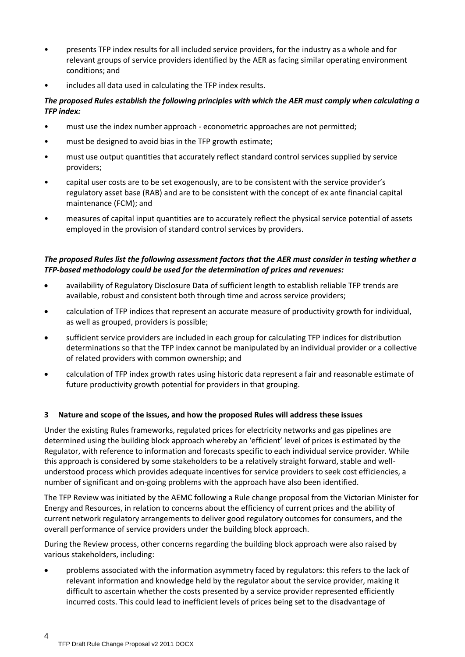- presents TFP index results for all included service providers, for the industry as a whole and for relevant groups of service providers identified by the AER as facing similar operating environment conditions; and
- includes all data used in calculating the TFP index results.

## *The proposed Rules establish the following principles with which the AER must comply when calculating a TFP index:*

- must use the index number approach econometric approaches are not permitted;
- must be designed to avoid bias in the TFP growth estimate;
- must use output quantities that accurately reflect standard control services supplied by service providers;
- capital user costs are to be set exogenously, are to be consistent with the service provider's regulatory asset base (RAB) and are to be consistent with the concept of ex ante financial capital maintenance (FCM); and
- measures of capital input quantities are to accurately reflect the physical service potential of assets employed in the provision of standard control services by providers.

# *The proposed Rules list the following assessment factors that the AER must consider in testing whether a TFP-based methodology could be used for the determination of prices and revenues:*

- availability of Regulatory Disclosure Data of sufficient length to establish reliable TFP trends are available, robust and consistent both through time and across service providers;
- calculation of TFP indices that represent an accurate measure of productivity growth for individual, as well as grouped, providers is possible;
- sufficient service providers are included in each group for calculating TFP indices for distribution determinations so that the TFP index cannot be manipulated by an individual provider or a collective of related providers with common ownership; and
- calculation of TFP index growth rates using historic data represent a fair and reasonable estimate of future productivity growth potential for providers in that grouping.

#### **3 Nature and scope of the issues, and how the proposed Rules will address these issues**

Under the existing Rules frameworks, regulated prices for electricity networks and gas pipelines are determined using the building block approach whereby an 'efficient' level of prices is estimated by the Regulator, with reference to information and forecasts specific to each individual service provider. While this approach is considered by some stakeholders to be a relatively straight forward, stable and wellunderstood process which provides adequate incentives for service providers to seek cost efficiencies, a number of significant and on-going problems with the approach have also been identified.

The TFP Review was initiated by the AEMC following a Rule change proposal from the Victorian Minister for Energy and Resources, in relation to concerns about the efficiency of current prices and the ability of current network regulatory arrangements to deliver good regulatory outcomes for consumers, and the overall performance of service providers under the building block approach.

During the Review process, other concerns regarding the building block approach were also raised by various stakeholders, including:

• problems associated with the information asymmetry faced by regulators: this refers to the lack of relevant information and knowledge held by the regulator about the service provider, making it difficult to ascertain whether the costs presented by a service provider represented efficiently incurred costs. This could lead to inefficient levels of prices being set to the disadvantage of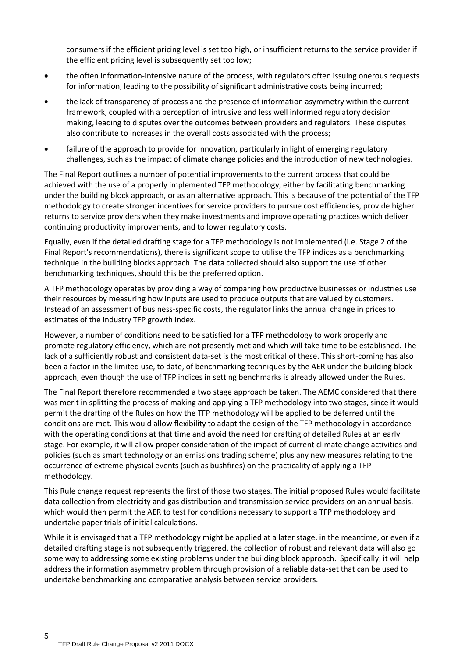consumers if the efficient pricing level is set too high, or insufficient returns to the service provider if the efficient pricing level is subsequently set too low;

- the often information-intensive nature of the process, with regulators often issuing onerous requests for information, leading to the possibility of significant administrative costs being incurred;
- the lack of transparency of process and the presence of information asymmetry within the current framework, coupled with a perception of intrusive and less well informed regulatory decision making, leading to disputes over the outcomes between providers and regulators. These disputes also contribute to increases in the overall costs associated with the process;
- failure of the approach to provide for innovation, particularly in light of emerging regulatory challenges, such as the impact of climate change policies and the introduction of new technologies.

The Final Report outlines a number of potential improvements to the current process that could be achieved with the use of a properly implemented TFP methodology, either by facilitating benchmarking under the building block approach, or as an alternative approach. This is because of the potential of the TFP methodology to create stronger incentives for service providers to pursue cost efficiencies, provide higher returns to service providers when they make investments and improve operating practices which deliver continuing productivity improvements, and to lower regulatory costs.

Equally, even if the detailed drafting stage for a TFP methodology is not implemented (i.e. Stage 2 of the Final Report's recommendations), there is significant scope to utilise the TFP indices as a benchmarking technique in the building blocks approach. The data collected should also support the use of other benchmarking techniques, should this be the preferred option.

A TFP methodology operates by providing a way of comparing how productive businesses or industries use their resources by measuring how inputs are used to produce outputs that are valued by customers. Instead of an assessment of business-specific costs, the regulator links the annual change in prices to estimates of the industry TFP growth index.

However, a number of conditions need to be satisfied for a TFP methodology to work properly and promote regulatory efficiency, which are not presently met and which will take time to be established. The lack of a sufficiently robust and consistent data-set is the most critical of these. This short-coming has also been a factor in the limited use, to date, of benchmarking techniques by the AER under the building block approach, even though the use of TFP indices in setting benchmarks is already allowed under the Rules.

The Final Report therefore recommended a two stage approach be taken. The AEMC considered that there was merit in splitting the process of making and applying a TFP methodology into two stages, since it would permit the drafting of the Rules on how the TFP methodology will be applied to be deferred until the conditions are met. This would allow flexibility to adapt the design of the TFP methodology in accordance with the operating conditions at that time and avoid the need for drafting of detailed Rules at an early stage. For example, it will allow proper consideration of the impact of current climate change activities and policies (such as smart technology or an emissions trading scheme) plus any new measures relating to the occurrence of extreme physical events (such as bushfires) on the practicality of applying a TFP methodology.

This Rule change request represents the first of those two stages. The initial proposed Rules would facilitate data collection from electricity and gas distribution and transmission service providers on an annual basis, which would then permit the AER to test for conditions necessary to support a TFP methodology and undertake paper trials of initial calculations.

While it is envisaged that a TFP methodology might be applied at a later stage, in the meantime, or even if a detailed drafting stage is not subsequently triggered, the collection of robust and relevant data will also go some way to addressing some existing problems under the building block approach. Specifically, it will help address the information asymmetry problem through provision of a reliable data-set that can be used to undertake benchmarking and comparative analysis between service providers.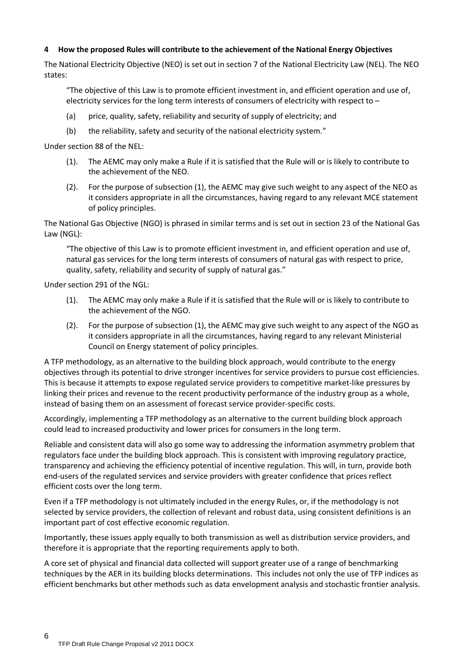## **4 How the proposed Rules will contribute to the achievement of the National Energy Objectives**

The National Electricity Objective (NEO) is set out in section 7 of the National Electricity Law (NEL). The NEO states:

"The objective of this Law is to promote efficient investment in, and efficient operation and use of, electricity services for the long term interests of consumers of electricity with respect to –

- (a) price, quality, safety, reliability and security of supply of electricity; and
- (b) the reliability, safety and security of the national electricity system."

Under section 88 of the NEL:

- (1). The AEMC may only make a Rule if it is satisfied that the Rule will or is likely to contribute to the achievement of the NEO.
- (2). For the purpose of subsection (1), the AEMC may give such weight to any aspect of the NEO as it considers appropriate in all the circumstances, having regard to any relevant MCE statement of policy principles.

The National Gas Objective (NGO) is phrased in similar terms and is set out in section 23 of the National Gas Law (NGL):

"The objective of this Law is to promote efficient investment in, and efficient operation and use of, natural gas services for the long term interests of consumers of natural gas with respect to price, quality, safety, reliability and security of supply of natural gas."

Under section 291 of the NGL:

- (1). The AEMC may only make a Rule if it is satisfied that the Rule will or is likely to contribute to the achievement of the NGO.
- (2). For the purpose of subsection (1), the AEMC may give such weight to any aspect of the NGO as it considers appropriate in all the circumstances, having regard to any relevant Ministerial Council on Energy statement of policy principles.

A TFP methodology, as an alternative to the building block approach, would contribute to the energy objectives through its potential to drive stronger incentives for service providers to pursue cost efficiencies. This is because it attempts to expose regulated service providers to competitive market-like pressures by linking their prices and revenue to the recent productivity performance of the industry group as a whole, instead of basing them on an assessment of forecast service provider-specific costs.

Accordingly, implementing a TFP methodology as an alternative to the current building block approach could lead to increased productivity and lower prices for consumers in the long term.

Reliable and consistent data will also go some way to addressing the information asymmetry problem that regulators face under the building block approach. This is consistent with improving regulatory practice, transparency and achieving the efficiency potential of incentive regulation. This will, in turn, provide both end-users of the regulated services and service providers with greater confidence that prices reflect efficient costs over the long term.

Even if a TFP methodology is not ultimately included in the energy Rules, or, if the methodology is not selected by service providers, the collection of relevant and robust data, using consistent definitions is an important part of cost effective economic regulation.

Importantly, these issues apply equally to both transmission as well as distribution service providers, and therefore it is appropriate that the reporting requirements apply to both.

A core set of physical and financial data collected will support greater use of a range of benchmarking techniques by the AER in its building blocks determinations. This includes not only the use of TFP indices as efficient benchmarks but other methods such as data envelopment analysis and stochastic frontier analysis.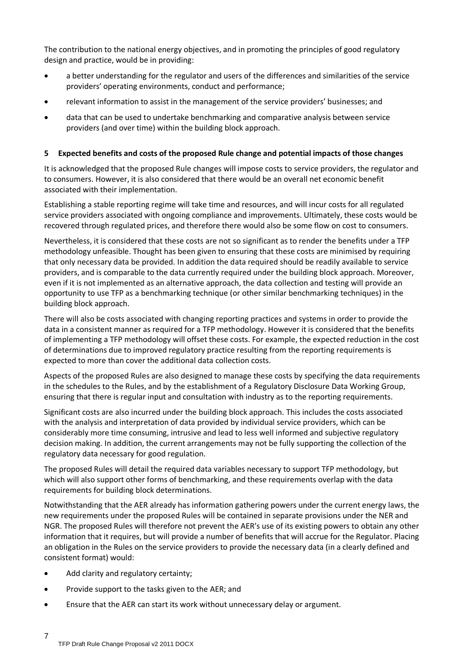The contribution to the national energy objectives, and in promoting the principles of good regulatory design and practice, would be in providing:

- a better understanding for the regulator and users of the differences and similarities of the service providers' operating environments, conduct and performance;
- relevant information to assist in the management of the service providers' businesses; and
- data that can be used to undertake benchmarking and comparative analysis between service providers (and over time) within the building block approach.

# **5 Expected benefits and costs of the proposed Rule change and potential impacts of those changes**

It is acknowledged that the proposed Rule changes will impose costs to service providers, the regulator and to consumers. However, it is also considered that there would be an overall net economic benefit associated with their implementation.

Establishing a stable reporting regime will take time and resources, and will incur costs for all regulated service providers associated with ongoing compliance and improvements. Ultimately, these costs would be recovered through regulated prices, and therefore there would also be some flow on cost to consumers.

Nevertheless, it is considered that these costs are not so significant as to render the benefits under a TFP methodology unfeasible. Thought has been given to ensuring that these costs are minimised by requiring that only necessary data be provided. In addition the data required should be readily available to service providers, and is comparable to the data currently required under the building block approach. Moreover, even if it is not implemented as an alternative approach, the data collection and testing will provide an opportunity to use TFP as a benchmarking technique (or other similar benchmarking techniques) in the building block approach.

There will also be costs associated with changing reporting practices and systems in order to provide the data in a consistent manner as required for a TFP methodology. However it is considered that the benefits of implementing a TFP methodology will offset these costs. For example, the expected reduction in the cost of determinations due to improved regulatory practice resulting from the reporting requirements is expected to more than cover the additional data collection costs.

Aspects of the proposed Rules are also designed to manage these costs by specifying the data requirements in the schedules to the Rules, and by the establishment of a Regulatory Disclosure Data Working Group, ensuring that there is regular input and consultation with industry as to the reporting requirements.

Significant costs are also incurred under the building block approach. This includes the costs associated with the analysis and interpretation of data provided by individual service providers, which can be considerably more time consuming, intrusive and lead to less well informed and subjective regulatory decision making. In addition, the current arrangements may not be fully supporting the collection of the regulatory data necessary for good regulation.

The proposed Rules will detail the required data variables necessary to support TFP methodology, but which will also support other forms of benchmarking, and these requirements overlap with the data requirements for building block determinations.

Notwithstanding that the AER already has information gathering powers under the current energy laws, the new requirements under the proposed Rules will be contained in separate provisions under the NER and NGR. The proposed Rules will therefore not prevent the AER's use of its existing powers to obtain any other information that it requires, but will provide a number of benefits that will accrue for the Regulator. Placing an obligation in the Rules on the service providers to provide the necessary data (in a clearly defined and consistent format) would:

- Add clarity and regulatory certainty;
- Provide support to the tasks given to the AER; and
- Ensure that the AER can start its work without unnecessary delay or argument.